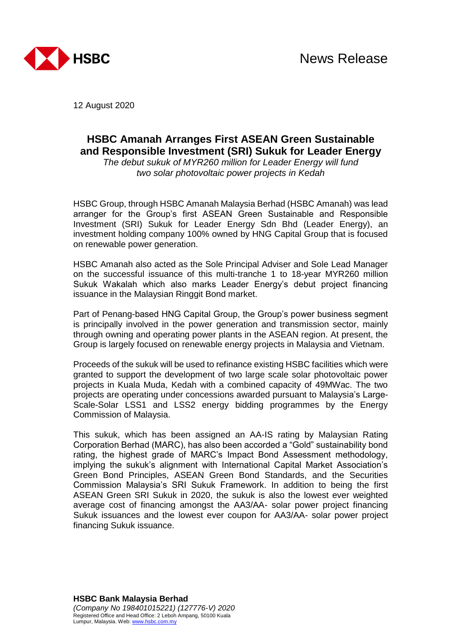

12 August 2020

# **HSBC Amanah Arranges First ASEAN Green Sustainable and Responsible Investment (SRI) Sukuk for Leader Energy**

*The debut sukuk of MYR260 million for Leader Energy will fund two solar photovoltaic power projects in Kedah*

HSBC Group, through HSBC Amanah Malaysia Berhad (HSBC Amanah) was lead arranger for the Group's first ASEAN Green Sustainable and Responsible Investment (SRI) Sukuk for Leader Energy Sdn Bhd (Leader Energy), an investment holding company 100% owned by HNG Capital Group that is focused on renewable power generation.

HSBC Amanah also acted as the Sole Principal Adviser and Sole Lead Manager on the successful issuance of this multi-tranche 1 to 18-year MYR260 million Sukuk Wakalah which also marks Leader Energy's debut project financing issuance in the Malaysian Ringgit Bond market.

Part of Penang-based HNG Capital Group, the Group's power business segment is principally involved in the power generation and transmission sector, mainly through owning and operating power plants in the ASEAN region. At present, the Group is largely focused on renewable energy projects in Malaysia and Vietnam.

Proceeds of the sukuk will be used to refinance existing HSBC facilities which were granted to support the development of two large scale solar photovoltaic power projects in Kuala Muda, Kedah with a combined capacity of 49MWac. The two projects are operating under concessions awarded pursuant to Malaysia's Large-Scale-Solar LSS1 and LSS2 energy bidding programmes by the Energy Commission of Malaysia.

This sukuk, which has been assigned an AA-IS rating by Malaysian Rating Corporation Berhad (MARC), has also been accorded a "Gold" sustainability bond rating, the highest grade of MARC's Impact Bond Assessment methodology, implying the sukuk's alignment with International Capital Market Association's Green Bond Principles, ASEAN Green Bond Standards, and the Securities Commission Malaysia's SRI Sukuk Framework. In addition to being the first ASEAN Green SRI Sukuk in 2020, the sukuk is also the lowest ever weighted average cost of financing amongst the AA3/AA- solar power project financing Sukuk issuances and the lowest ever coupon for AA3/AA- solar power project financing Sukuk issuance.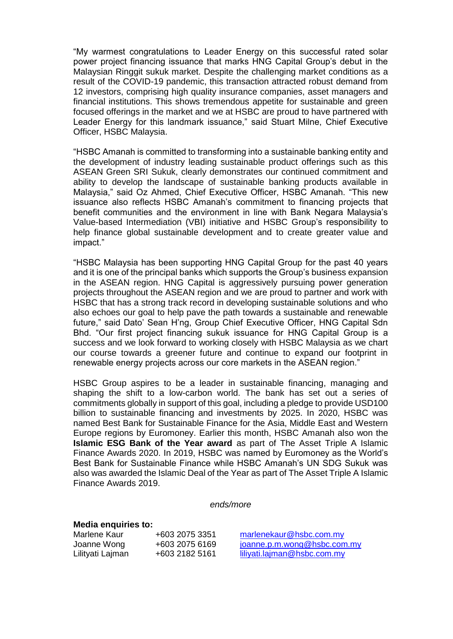"My warmest congratulations to Leader Energy on this successful rated solar power project financing issuance that marks HNG Capital Group's debut in the Malaysian Ringgit sukuk market. Despite the challenging market conditions as a result of the COVID-19 pandemic, this transaction attracted robust demand from 12 investors, comprising high quality insurance companies, asset managers and financial institutions. This shows tremendous appetite for sustainable and green focused offerings in the market and we at HSBC are proud to have partnered with Leader Energy for this landmark issuance," said Stuart Milne, Chief Executive Officer, HSBC Malaysia.

"HSBC Amanah is committed to transforming into a sustainable banking entity and the development of industry leading sustainable product offerings such as this ASEAN Green SRI Sukuk, clearly demonstrates our continued commitment and ability to develop the landscape of sustainable banking products available in Malaysia," said Oz Ahmed, Chief Executive Officer, HSBC Amanah. "This new issuance also reflects HSBC Amanah's commitment to financing projects that benefit communities and the environment in line with Bank Negara Malaysia's Value-based Intermediation (VBI) initiative and HSBC Group's responsibility to help finance global sustainable development and to create greater value and impact."

"HSBC Malaysia has been supporting HNG Capital Group for the past 40 years and it is one of the principal banks which supports the Group's business expansion in the ASEAN region. HNG Capital is aggressively pursuing power generation projects throughout the ASEAN region and we are proud to partner and work with HSBC that has a strong track record in developing sustainable solutions and who also echoes our goal to help pave the path towards a sustainable and renewable future," said Dato' Sean H'ng, Group Chief Executive Officer, HNG Capital Sdn Bhd. "Our first project financing sukuk issuance for HNG Capital Group is a success and we look forward to working closely with HSBC Malaysia as we chart our course towards a greener future and continue to expand our footprint in renewable energy projects across our core markets in the ASEAN region."

HSBC Group aspires to be a leader in sustainable financing, managing and shaping the shift to a low-carbon world. The bank has set out a series of commitments globally in support of this goal, including a pledge to provide USD100 billion to sustainable financing and investments by 2025. In 2020, HSBC was named Best Bank for Sustainable Finance for the Asia, Middle East and Western Europe regions by Euromoney. Earlier this month, HSBC Amanah also won the **Islamic ESG Bank of the Year award** as part of The Asset Triple A Islamic Finance Awards 2020. In 2019, HSBC was named by Euromoney as the World's Best Bank for Sustainable Finance while HSBC Amanah's UN SDG Sukuk was also was awarded the Islamic Deal of the Year as part of The Asset Triple A Islamic Finance Awards 2019.

*ends/more*

#### **Media enquiries to:**

| Marlene Kaur     | +603 2075 3351 |
|------------------|----------------|
| Joanne Wong      | +603 2075 6169 |
| Lilityati Lajman | +603 2182 5161 |

[marlenekaur@hsbc.com.my](mailto:marlenekaur@hsbc.com.my)  $joanne.p.m.wong@hsbc.com.my$ liliyati.lajman@hsbc.com.mv